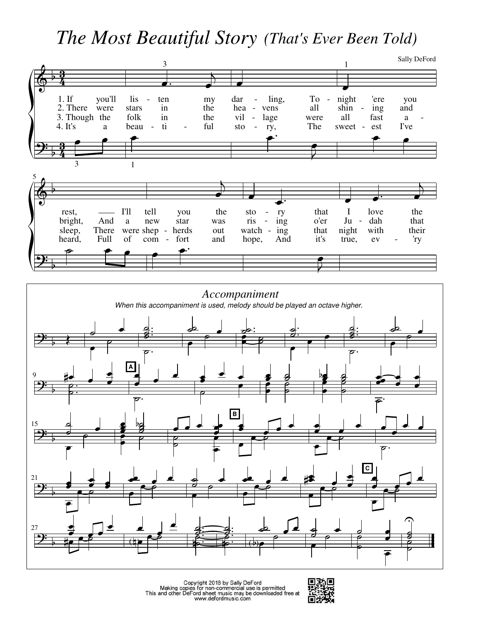## The Most Beautiful Story (That's Ever Been Told)